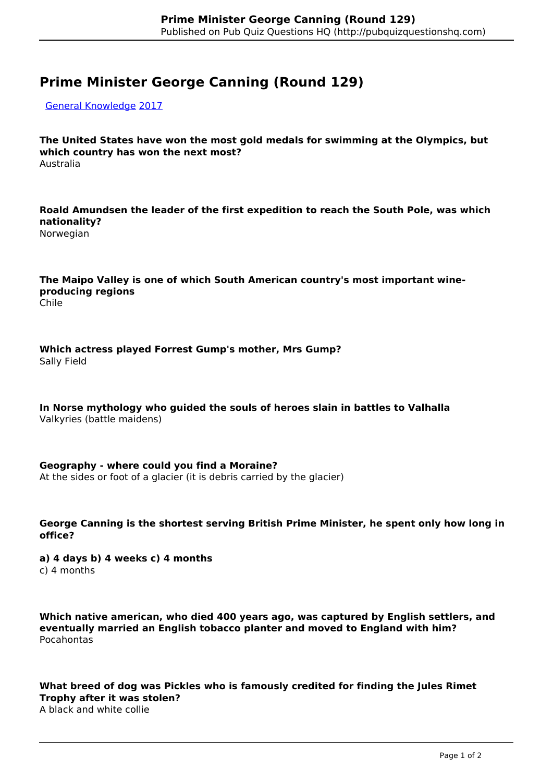## **Prime Minister George Canning (Round 129)**

[General Knowledge](http://pubquizquestionshq.com/categories/general-knowledge) [2017](http://pubquizquestionshq.com/categories/2017)

**The United States have won the most gold medals for swimming at the Olympics, but which country has won the next most?** Australia

**Roald Amundsen the leader of the first expedition to reach the South Pole, was which nationality?**

Norwegian

**The Maipo Valley is one of which South American country's most important wineproducing regions** Chile

**Which actress played Forrest Gump's mother, Mrs Gump?** Sally Field

**In Norse mythology who guided the souls of heroes slain in battles to Valhalla** Valkyries (battle maidens)

**Geography - where could you find a Moraine?** At the sides or foot of a glacier (it is debris carried by the glacier)

**George Canning is the shortest serving British Prime Minister, he spent only how long in office?** 

**a) 4 days b) 4 weeks c) 4 months** c) 4 months

**Which native american, who died 400 years ago, was captured by English settlers, and eventually married an English tobacco planter and moved to England with him?** Pocahontas

**What breed of dog was Pickles who is famously credited for finding the Jules Rimet Trophy after it was stolen?** A black and white collie